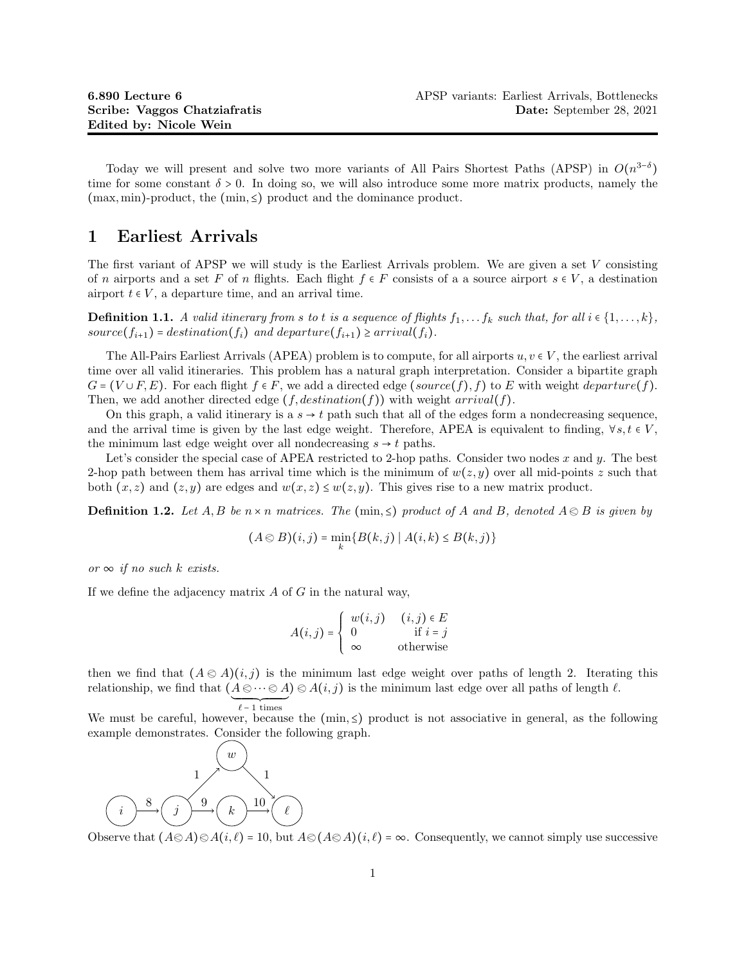Today we will present and solve two more variants of All Pairs Shortest Paths (APSP) in  $O(n^{3-\delta})$ time for some constant  $\delta > 0$ . In doing so, we will also introduce some more matrix products, namely the  $(\text{max}, \text{min})$ -product, the  $(\text{min}, \le)$  product and the dominance product.

## 1 Earliest Arrivals

The first variant of APSP we will study is the Earliest Arrivals problem. We are given a set V consisting of n airports and a set F of n flights. Each flight  $f \in F$  consists of a a source airport  $s \in V$ , a destination airport  $t \in V$ , a departure time, and an arrival time.

**Definition 1.1.** A valid itinerary from s to t is a sequence of flights  $f_1, \ldots, f_k$  such that, for all  $i \in \{1, \ldots, k\}$ , source( $f_{i+1}$ ) = destination( $f_i$ ) and departure( $f_{i+1}$ ) ≥ arrival( $f_i$ ).

The All-Pairs Earliest Arrivals (APEA) problem is to compute, for all airports  $u, v \in V$ , the earliest arrival time over all valid itineraries. This problem has a natural graph interpretation. Consider a bipartite graph  $G = (V \cup F, E)$ . For each flight  $f \in F$ , we add a directed edge  $(source(f), f)$  to E with weight departure(f). Then, we add another directed edge  $(f, destination(f))$  with weight  $arrival(f)$ .

On this graph, a valid itinerary is a  $s \to t$  path such that all of the edges form a nondecreasing sequence. and the arrival time is given by the last edge weight. Therefore, APEA is equivalent to finding,  $\forall s, t \in V$ , the minimum last edge weight over all nondecreasing  $s \rightarrow t$  paths.

Let's consider the special case of APEA restricted to 2-hop paths. Consider two nodes x and y. The best 2-hop path between them has arrival time which is the minimum of  $w(z, y)$  over all mid-points z such that both  $(x, z)$  and  $(z, y)$  are edges and  $w(x, z) \leq w(z, y)$ . This gives rise to a new matrix product.

**Definition 1.2.** Let A, B be  $n \times n$  matrices. The (min,  $\leq$ ) product of A and B, denoted  $A \otimes B$  is given by

$$
(A \otimes B)(i,j) = \min_{k} \{ B(k,j) \mid A(i,k) \le B(k,j) \}
$$

or  $\infty$  if no such k exists.

If we define the adjacency matrix  $A$  of  $G$  in the natural way,

$$
A(i,j) = \begin{cases} w(i,j) & (i,j) \in E \\ 0 & \text{if } i = j \\ \infty & \text{otherwise} \end{cases}
$$

then we find that  $(A \otimes A)(i, j)$  is the minimum last edge weight over paths of length 2. Iterating this relationship, we find that  $(A \otimes \cdots \otimes A) \otimes A(i, j)$  is the minimum last edge over all paths of length  $\ell$ .  $\ell$  – 1 times

We must be careful, however, because the  $(\min, \leq)$  product is not associative in general, as the following example demonstrates. Consider the following graph.



Observe that  $(A \otimes A) \otimes A(i, \ell) = 10$ , but  $A \otimes (A \otimes A)(i, \ell) = \infty$ . Consequently, we cannot simply use successive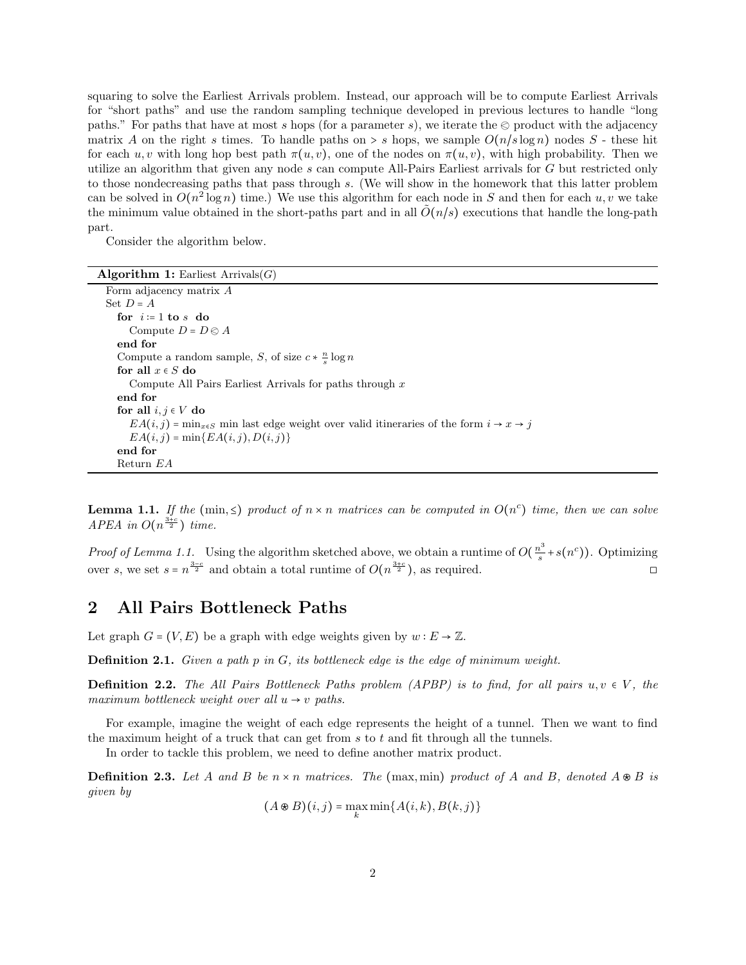squaring to solve the Earliest Arrivals problem. Instead, our approach will be to compute Earliest Arrivals for "short paths" and use the random sampling technique developed in previous lectures to handle "long paths." For paths that have at most s hops (for a parameter s), we iterate the  $\otimes$  product with the adjacency matrix A on the right s times. To handle paths on  $> s$  hops, we sample  $O(n/s \log n)$  nodes S - these hit for each  $u, v$  with long hop best path  $\pi(u, v)$ , one of the nodes on  $\pi(u, v)$ , with high probability. Then we utilize an algorithm that given any node s can compute All-Pairs Earliest arrivals for G but restricted only to those nondecreasing paths that pass through s. (We will show in the homework that this latter problem can be solved in  $O(n^2 \log n)$  time.) We use this algorithm for each node in S and then for each  $u, v$  we take the minimum value obtained in the short-paths part and in all  $\tilde{O}(n/s)$  executions that handle the long-path part.

Consider the algorithm below.

| <b>Algorithm 1:</b> Earliest $Arrivals(G)$ |  |  |  |  |
|--------------------------------------------|--|--|--|--|
|--------------------------------------------|--|--|--|--|

| Form adjacency matrix A                                                                             |  |  |  |
|-----------------------------------------------------------------------------------------------------|--|--|--|
| Set $D = A$                                                                                         |  |  |  |
| for $i=1$ to s do                                                                                   |  |  |  |
| Compute $D = D \otimes A$                                                                           |  |  |  |
| end for                                                                                             |  |  |  |
| Compute a random sample, S, of size $c * \frac{n}{s} \log n$                                        |  |  |  |
| for all $x \in S$ do                                                                                |  |  |  |
| Compute All Pairs Earliest Arrivals for paths through $x$                                           |  |  |  |
| end for                                                                                             |  |  |  |
| for all $i, j \in V$ do                                                                             |  |  |  |
| $EA(i, j) = \min_{x \in S}$ min last edge weight over valid itineraries of the form $i \to x \to j$ |  |  |  |
| $EA(i, j) = min\{EA(i, j), D(i, j)\}$                                                               |  |  |  |
| end for                                                                                             |  |  |  |
| Return EA                                                                                           |  |  |  |

**Lemma 1.1.** If the (min,  $\leq$ ) product of  $n \times n$  matrices can be computed in  $O(n^c)$  time, then we can solve APEA in  $O(n^{\frac{3+c}{2}})$  time.

*Proof of Lemma 1.1.* Using the algorithm sketched above, we obtain a runtime of  $O(\frac{n^3}{s})$  $s^{3} + s(n^{c})$ ). Optimizing over s, we set  $s = n^{\frac{3-c}{2}}$  and obtain a total runtime of  $O(n^{\frac{3+c}{2}})$ , as required.

## 2 All Pairs Bottleneck Paths

Let graph  $G = (V, E)$  be a graph with edge weights given by  $w : E \to \mathbb{Z}$ .

**Definition 2.1.** Given a path p in  $G$ , its bottleneck edge is the edge of minimum weight.

**Definition 2.2.** The All Pairs Bottleneck Paths problem (APBP) is to find, for all pairs  $u, v \in V$ , the maximum bottleneck weight over all  $u \rightarrow v$  paths.

For example, imagine the weight of each edge represents the height of a tunnel. Then we want to find the maximum height of a truck that can get from  $s$  to  $t$  and fit through all the tunnels.

In order to tackle this problem, we need to define another matrix product.

**Definition 2.3.** Let A and B be  $n \times n$  matrices. The (max, min) product of A and B, denoted  $A \otimes B$  is given by

 $(A \otimes B)(i, j) = \max_{k} \min\{A(i, k), B(k, j)\}\$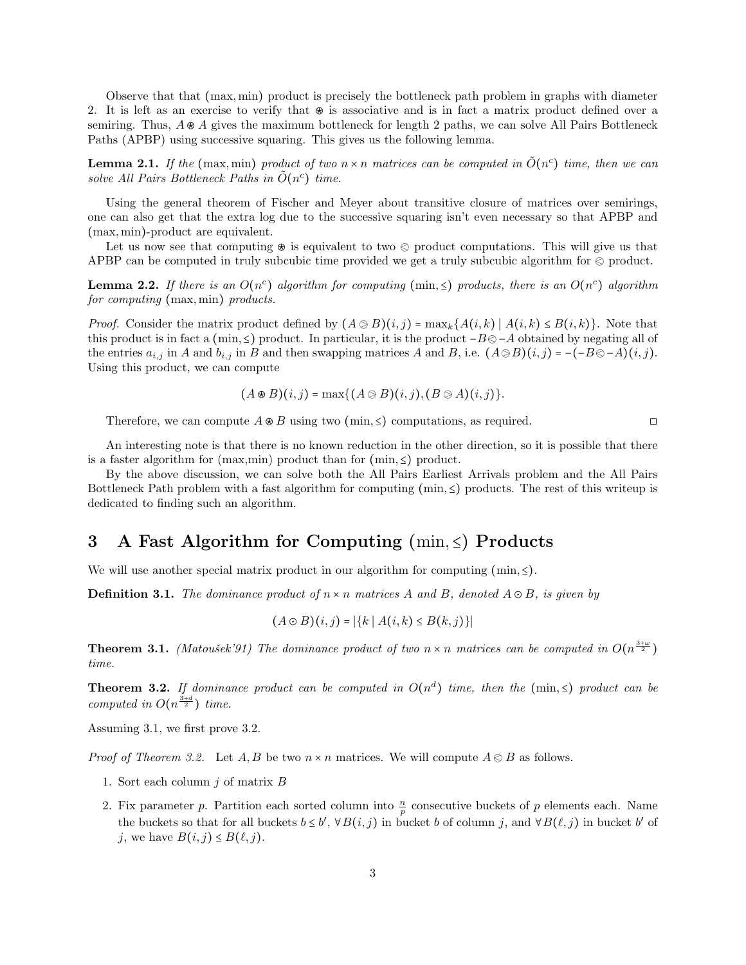Observe that that (max, min) product is precisely the bottleneck path problem in graphs with diameter 2. It is left as an exercise to verify that  $\otimes$  is associative and is in fact a matrix product defined over a semiring. Thus,  $A \otimes A$  gives the maximum bottleneck for length 2 paths, we can solve All Pairs Bottleneck Paths (APBP) using successive squaring. This gives us the following lemma.

**Lemma 2.1.** If the (max, min) product of two  $n \times n$  matrices can be computed in  $\tilde{O}(n^c)$  time, then we can solve All Pairs Bottleneck Paths in  $\tilde{O}(n^c)$  time.

Using the general theorem of Fischer and Meyer about transitive closure of matrices over semirings, one can also get that the extra log due to the successive squaring isn't even necessary so that APBP and (max, min)-product are equivalent.

Let us now see that computing  $\otimes$  is equivalent to two  $\otimes$  product computations. This will give us that APBP can be computed in truly subcubic time provided we get a truly subcubic algorithm for  $\otimes$  product.

**Lemma 2.2.** If there is an  $O(n^c)$  algorithm for computing (min,  $\leq$ ) products, there is an  $O(n^c)$  algorithm for computing (max, min) products.

*Proof.* Consider the matrix product defined by  $(A \otimes B)(i, j) = \max_k \{A(i, k) | A(i, k) \le B(i, k)\}\.$  Note that this product is in fact a (min,  $\leq$ ) product. In particular, it is the product  $-B\otimes -A$  obtained by negating all of the entries  $a_{i,j}$  in A and  $b_{i,j}$  in B and then swapping matrices A and B, i.e.  $(A \otimes B)(i, j) = -(-B \otimes -A)(i, j)$ . Using this product, we can compute

$$
(A \otimes B)(i,j) = \max\{(A \otimes B)(i,j), (B \otimes A)(i,j)\}.
$$

Therefore, we can compute  $A \otimes B$  using two  $(\min, \leq)$  computations, as required.  $\square$ 

An interesting note is that there is no known reduction in the other direction, so it is possible that there is a faster algorithm for (max,min) product than for (min,  $\leq$ ) product.

By the above discussion, we can solve both the All Pairs Earliest Arrivals problem and the All Pairs Bottleneck Path problem with a fast algorithm for computing  $(\min, \leq)$  products. The rest of this writeup is dedicated to finding such an algorithm.

## 3 A Fast Algorithm for Computing  $(\min, \leq)$  Products

We will use another special matrix product in our algorithm for computing  $(\min, \leq)$ .

**Definition 3.1.** The dominance product of  $n \times n$  matrices A and B, denoted  $A \odot B$ , is given by

$$
(A \odot B)(i, j) = |\{k \mid A(i, k) \le B(k, j)\}|
$$

**Theorem 3.1.** (Matoušek'91) The dominance product of two  $n \times n$  matrices can be computed in  $O(n^{\frac{3+\omega}{2}})$ time.

**Theorem 3.2.** If dominance product can be computed in  $O(n^d)$  time, then the (min,  $\leq$ ) product can be computed in  $O(n^{\frac{3+d}{2}})$  time.

Assuming 3.1, we first prove 3.2.

*Proof of Theorem 3.2.* Let  $A, B$  be two  $n \times n$  matrices. We will compute  $A \otimes B$  as follows.

- 1. Sort each column  $j$  of matrix  $B$
- 2. Fix parameter p. Partition each sorted column into  $\frac{n}{p}$  consecutive buckets of p elements each. Name the buckets so that for all buckets  $b \leq b'$ ,  $\forall B(i, j)$  in bucket b of column j, and  $\forall B(\ell, j)$  in bucket b' of j, we have  $B(i, j) \le B(\ell, j)$ .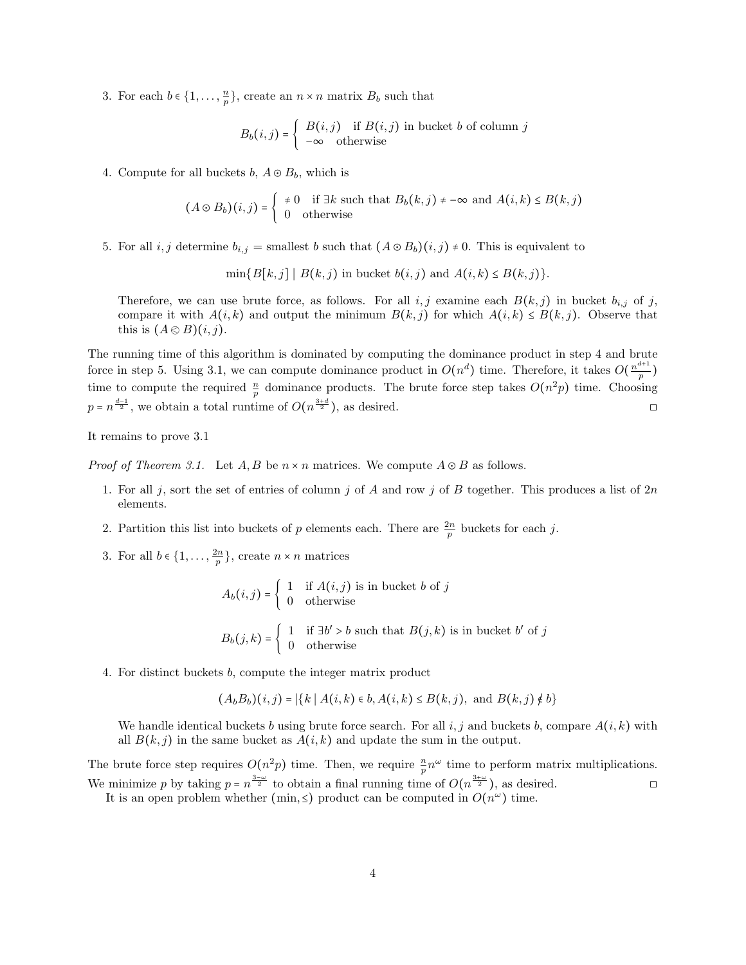3. For each  $b \in \{1, \ldots, \frac{n}{p}\}\,$  create an  $n \times n$  matrix  $B_b$  such that

$$
B_b(i,j) = \begin{cases} B(i,j) & \text{if } B(i,j) \text{ in bucket } b \text{ of column } j \\ -\infty & \text{otherwise} \end{cases}
$$

4. Compute for all buckets  $b, A \odot B_b$ , which is

$$
(A \odot B_b)(i,j) = \begin{cases} \neq 0 & \text{if } \exists k \text{ such that } B_b(k,j) \neq -\infty \text{ and } A(i,k) \leq B(k,j) \\ 0 & \text{otherwise} \end{cases}
$$

5. For all i, j determine  $b_{i,j}$  = smallest b such that  $(A \odot B_b)(i,j) \neq 0$ . This is equivalent to

 $\min\{B[k,j] \mid B(k,j) \text{ in bucket } b(i,j) \text{ and } A(i,k) \leq B(k,j)\}.$ 

Therefore, we can use brute force, as follows. For all i, j examine each  $B(k, j)$  in bucket  $b_{i,j}$  of j, compare it with  $A(i,k)$  and output the minimum  $B(k, j)$  for which  $A(i,k) \le B(k, j)$ . Observe that this is  $(A \otimes B)(i, j)$ .

The running time of this algorithm is dominated by computing the dominance product in step 4 and brute force in step 5. Using 3.1, we can compute dominance product in  $O(n^d)$  time. Therefore, it takes  $O(\frac{n^{d+1}}{n})$  $\frac{1}{p}$ ) time to compute the required  $\frac{n}{p}$  dominance products. The brute force step takes  $O(n^2p)$  time. Choosing  $p = n^{\frac{d-1}{2}}$ , we obtain a total runtime of  $O(n^{\frac{3+d}{2}})$ , as desired.

It remains to prove 3.1

*Proof of Theorem 3.1.* Let  $A, B$  be  $n \times n$  matrices. We compute  $A \odot B$  as follows.

- 1. For all j, sort the set of entries of column j of A and row j of B together. This produces a list of  $2n$ elements.
- 2. Partition this list into buckets of p elements each. There are  $\frac{2n}{p}$  buckets for each j.
- 3. For all  $b \in \{1, \ldots, \frac{2n}{p}\},\$  create  $n \times n$  matrices

$$
A_b(i,j) = \begin{cases} 1 & \text{if } A(i,j) \text{ is in bucket } b \text{ of } j \\ 0 & \text{otherwise} \end{cases}
$$
  

$$
B_b(j,k) = \begin{cases} 1 & \text{if } \exists b' > b \text{ such that } B(j,k) \text{ is in bucket } b' \text{ of } j \\ 0 & \text{otherwise} \end{cases}
$$

4. For distinct buckets b, compute the integer matrix product

$$
(A_b B_b)(i, j) = |\{k \mid A(i, k) \in b, A(i, k) \le B(k, j), \text{ and } B(k, j) \notin b\}
$$

We handle identical buckets b using brute force search. For all i, j and buckets b, compare  $A(i,k)$  with all  $B(k, j)$  in the same bucket as  $A(i, k)$  and update the sum in the output.

The brute force step requires  $O(n^2p)$  time. Then, we require  $\frac{n}{p}n^{\omega}$  time to perform matrix multiplications. We minimize p by taking  $p = n^{\frac{3-\omega}{2}}$  to obtain a final running time of  $O(n^{\frac{3+\omega}{2}})$ , as desired.

It is an open problem whether (min,  $\leq$ ) product can be computed in  $O(n^{\omega})$  time.